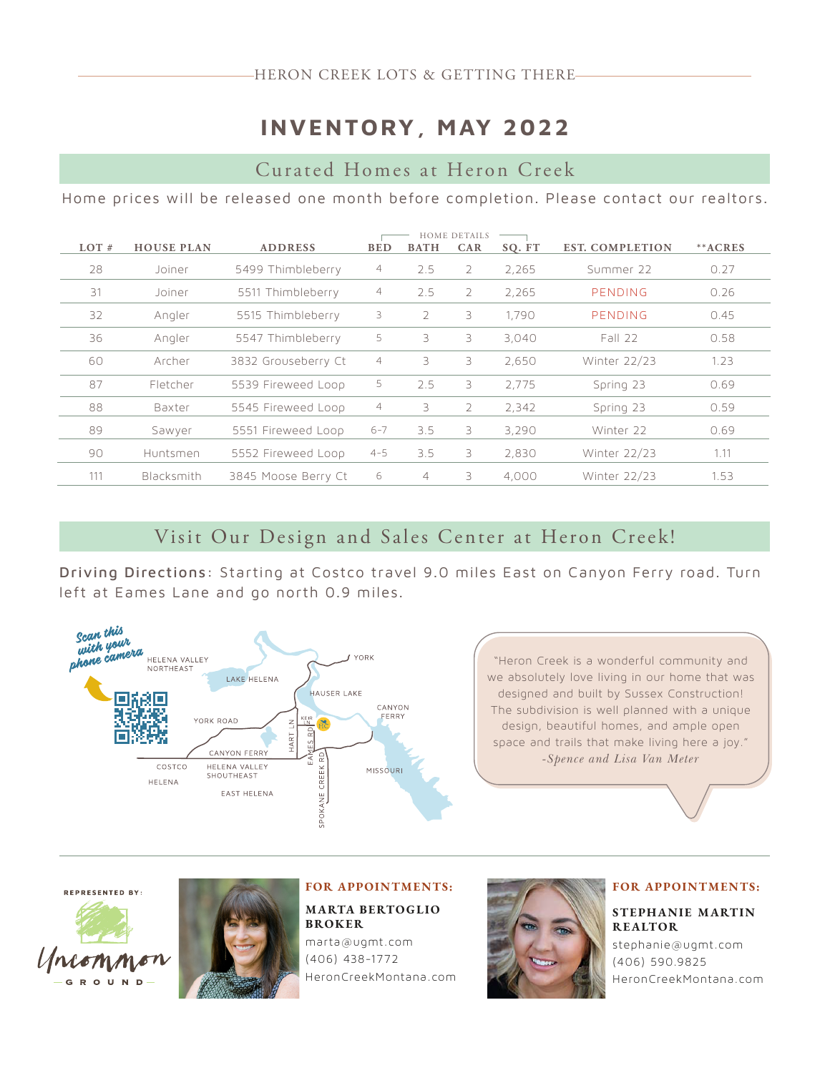## **INVENTORY, MAY 2022**

## Curated Homes at Heron Creek

Home prices will be released one month before completion. Please contact our realtors.

| $LOT$ # | <b>HOUSE PLAN</b> | <b>ADDRESS</b>      | <b>BED</b>     | <b>BATH</b>    | <b>HOME DETAILS</b><br><b>CAR</b> | SQ. FT | <b>EST. COMPLETION</b> | **ACRES |
|---------|-------------------|---------------------|----------------|----------------|-----------------------------------|--------|------------------------|---------|
| 28      | Joiner            | 5499 Thimbleberry   | 4              | 2.5            | 2                                 | 2.265  | Summer 22              | 0.27    |
| 31      | Joiner            | 5511 Thimbleberry   | $\overline{4}$ | 2.5            | $\overline{2}$                    | 2.265  | PENDING                | 0.26    |
| 32      | Angler            | 5515 Thimbleberry   | 3              | $\overline{2}$ | 3                                 | 1.790  | PENDING                | 0.45    |
| 36      | Angler            | 5547 Thimbleberry   | 5              | 3              | 3                                 | 3.040  | Fall 22                | 0.58    |
| 60      | Archer            | 3832 Grouseberry Ct | $\overline{4}$ | 3              | 3                                 | 2,650  | Winter 22/23           | 1.23    |
| 87      | Fletcher          | 5539 Fireweed Loop  | 5              | 2.5            | 3                                 | 2.775  | Spring 23              | 0.69    |
| 88      | Baxter            | 5545 Fireweed Loop  | $\overline{4}$ | 3              | $\overline{2}$                    | 2,342  | Spring 23              | 0.59    |
| 89      | Sawyer            | 5551 Fireweed Loop  | $6 - 7$        | 3.5            | 3                                 | 3,290  | Winter 22              | 0.69    |
| 90      | Huntsmen          | 5552 Fireweed Loop  | $4 - 5$        | 3.5            | 3                                 | 2,830  | Winter 22/23           | 1.11    |
| 111     | Blacksmith        | 3845 Moose Berry Ct | 6              | 4              | 3                                 | 4,000  | Winter 22/23           | 1.53    |

### Visit Our Design and Sales Center at Heron Creek!

Driving Directions: Starting at Costco travel 9.0 miles East on Canyon Ferry road. Turn left at Eames Lane and go north 0.9 miles.



**REPRESENTED BY:** 





FOR APPOINTMENTS: MARTA BERTOGLIO BROKER marta@ugmt.com



#### FOR APPOINTMENTS:

#### STEPHANIE MARTIN REALTOR

stephanie@ugmt.com (406) 590.9825 HeronCreekMontana.com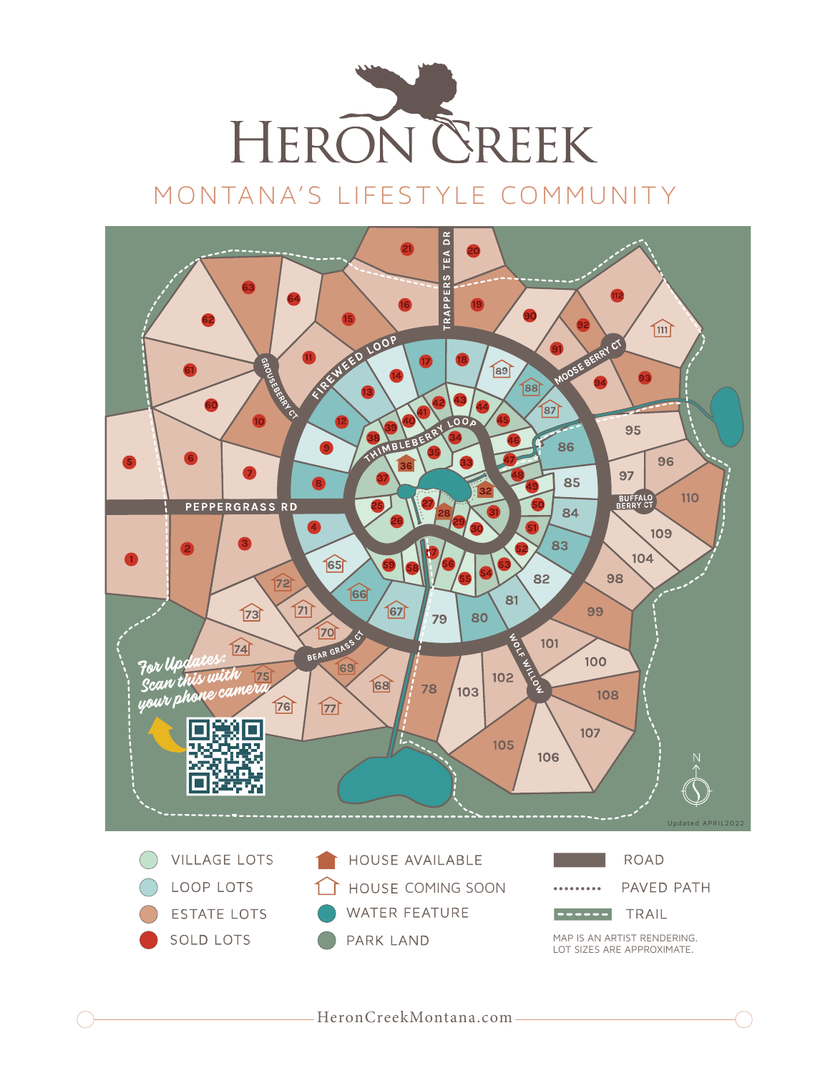

# MONTANA'S LIFESTYLE COMMUNITY

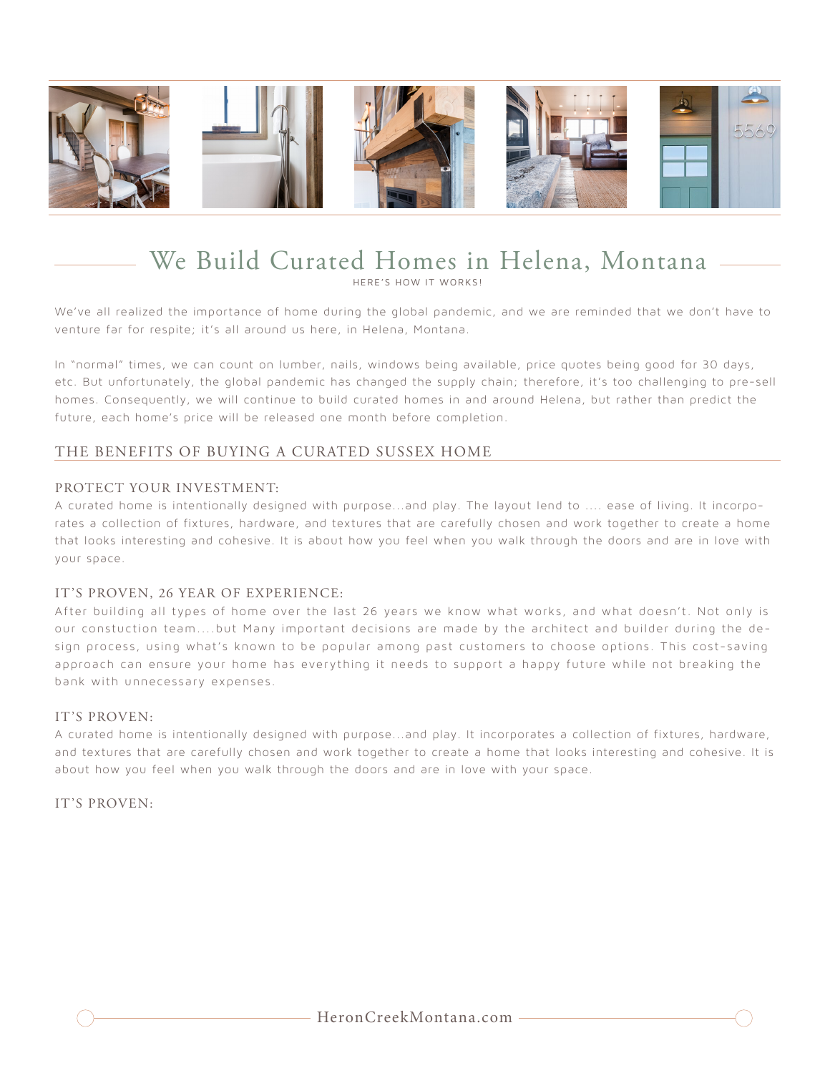

# We Build Curated Homes in Helena, Montana

HERE'S HOW IT WORKS!

We've all realized the importance of home during the global pandemic, and we are reminded that we don't have to venture far for respite; it's all around us here, in Helena, Montana.

In "normal" times, we can count on lumber, nails, windows being available, price quotes being good for 30 days, etc. But unfortunately, the global pandemic has changed the supply chain; therefore, it's too challenging to pre-sell homes. Consequently, we will continue to build curated homes in and around Helena, but rather than predict the future, each home's price will be released one month before completion.

### THE BENEFITS OF BUYING A CURATED SUSSEX HOME

#### PROTECT YOUR INVESTMENT:

A curated home is intentionally designed with purpose...and play. The layout lend to .... ease of living. It incorporates a collection of fixtures, hardware, and textures that are carefully chosen and work together to create a home that looks interesting and cohesive. It is about how you feel when you walk through the doors and are in love with your space.

#### IT'S PROVEN, 26 YEAR OF EXPERIENCE:

After building all types of home over the last 26 years we know what works, and what doesn't. Not only is our constuction team....but Many important decisions are made by the architect and builder during the design process, using what's known to be popular among past customers to choose options. This cost-saving approach can ensure your home has everything it needs to support a happy future while not breaking the bank with unnecessary expenses.

#### IT'S PROVEN:

A curated home is intentionally designed with purpose...and play. It incorporates a collection of fixtures, hardware, and textures that are carefully chosen and work together to create a home that looks interesting and cohesive. It is about how you feel when you walk through the doors and are in love with your space.

IT'S PROVEN: